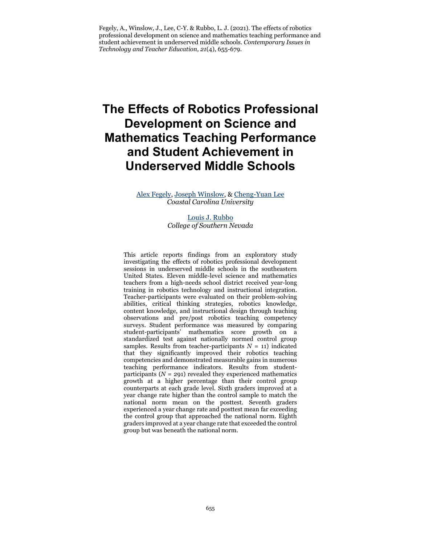Fegely, A., Winslow, J., Lee, C-Y. & Rubbo, L. J. (2021). The effects of robotics professional development on science and mathematics teaching performance and student achievement in underserved middle schools. *Contemporary Issues in Technology and Teacher Education, 21*(4), 655-679.

# **The Effects of Robotics Professional Development on Science and Mathematics Teaching Performance and Student Achievement in Underserved Middle Schools**

[Alex Fegely,](mailto:agfegely@coastal.edu) [Joseph Winslow,](mailto:jwinslow@coastal.edu) & [Cheng-Yuan Lee](mailto:clee@coastal.edu) *Coastal Carolina University*

> [Louis J. Rubbo](mailto:louis.rubbo@csn.edu) *College of Southern Nevada*

This article reports findings from an exploratory study investigating the effects of robotics professional development sessions in underserved middle schools in the southeastern United States. Eleven middle-level science and mathematics teachers from a high-needs school district received year-long training in robotics technology and instructional integration. Teacher-participants were evaluated on their problem-solving abilities, critical thinking strategies, robotics knowledge, content knowledge, and instructional design through teaching observations and pre/post robotics teaching competency surveys. Student performance was measured by comparing student-participants' mathematics score growth on a standardized test against nationally normed control group samples. Results from teacher-participants  $N = 11$ ) indicated that they significantly improved their robotics teaching competencies and demonstrated measurable gains in numerous teaching performance indicators. Results from studentparticipants  $(N = 291)$  revealed they experienced mathematics growth at a higher percentage than their control group counterparts at each grade level. Sixth graders improved at a year change rate higher than the control sample to match the national norm mean on the posttest. Seventh graders experienced a year change rate and posttest mean far exceeding the control group that approached the national norm. Eighth graders improved at a year change rate that exceeded the control group but was beneath the national norm.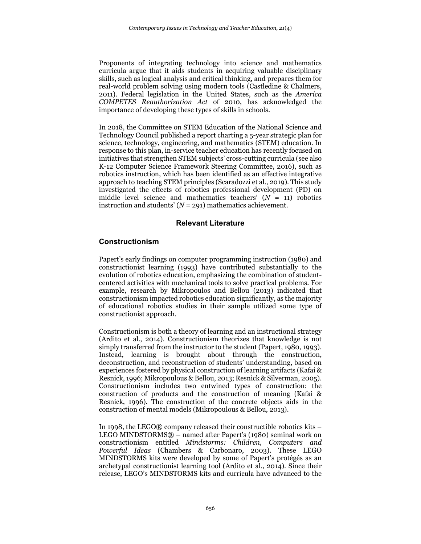Proponents of integrating technology into science and mathematics curricula argue that it aids students in acquiring valuable disciplinary skills, such as logical analysis and critical thinking, and prepares them for real-world problem solving using modern tools (Castledine & Chalmers, 2011). Federal legislation in the United States, such as the *America COMPETES Reauthorization Act* of 2010, has acknowledged the importance of developing these types of skills in schools.

In 2018, the Committee on STEM Education of the National Science and Technology Council published a report charting a 5-year strategic plan for science, technology, engineering, and mathematics (STEM) education. In response to this plan, in-service teacher education has recently focused on initiatives that strengthen STEM subjects' cross-cutting curricula (see also K-12 Computer Science Framework Steering Committee, 2016), such as robotics instruction, which has been identified as an effective integrative approach to teaching STEM principles (Scaradozzi et al., 2019). This study investigated the effects of robotics professional development (PD) on middle level science and mathematics teachers' (*N* = 11) robotics instruction and students'  $(N = 291)$  mathematics achievement.

# **Relevant Literature**

# **Constructionism**

Papert's early findings on computer programming instruction (1980) and constructionist learning (1993) have contributed substantially to the evolution of robotics education, emphasizing the combination of studentcentered activities with mechanical tools to solve practical problems. For example, research by Mikropoulos and Bellou (2013) indicated that constructionism impacted robotics education significantly, as the majority of educational robotics studies in their sample utilized some type of constructionist approach.

Constructionism is both a theory of learning and an instructional strategy (Ardito et al., 2014). Constructionism theorizes that knowledge is not simply transferred from the instructor to the student (Papert, 1980, 1993). Instead, learning is brought about through the construction, deconstruction, and reconstruction of students' understanding, based on experiences fostered by physical construction of learning artifacts (Kafai & Resnick, 1996; Mikropoulous & Bellou, 2013; Resnick & Silverman, 2005). Constructionism includes two entwined types of construction: the construction of products and the construction of meaning (Kafai & Resnick, 1996). The construction of the concrete objects aids in the construction of mental models (Mikropoulous & Bellou, 2013).

In 1998, the LEGO® company released their constructible robotics kits – LEGO MINDSTORMS® – named after Papert's (1980) seminal work on constructionism entitled *Mindstorms: Children, Computers and Powerful Ideas* (Chambers & Carbonaro, 2003). These LEGO MINDSTORMS kits were developed by some of Papert's protégés as an archetypal constructionist learning tool (Ardito et al., 2014). Since their release, LEGO's MINDSTORMS kits and curricula have advanced to the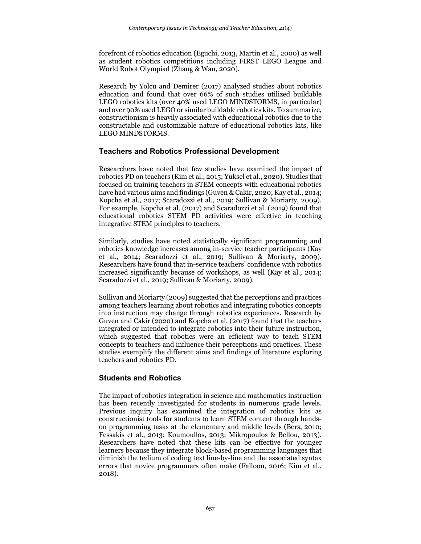forefront of robotics education (Eguchi, 2013, Martin et al., 2000) as well as student robotics competitions including FIRST LEGO League and World Robot Olympiad (Zhang & Wan, 2020).

Research by Yolcu and Demirer (2017) analyzed studies about robotics education and found that over 66% of such studies utilized buildable LEGO robotics kits (over 40% used LEGO MINDSTORMS, in particular) and over 90% used LEGO or similar buildable robotics kits. To summarize, constructionism is heavily associated with educational robotics due to the constructable and customizable nature of educational robotics kits, like LEGO MINDSTORMS.

# **Teachers and Robotics Professional Development**

Researchers have noted that few studies have examined the impact of robotics PD on teachers (Kim et al., 2015; Yuksel et al., 2020). Studies that focused on training teachers in STEM concepts with educational robotics have had various aims and findings (Guven & Cakir, 2020; Kay et al., 2014; Kopcha et al., 2017; Scaradozzi et al., 2019; Sullivan & Moriarty, 2009). For example, Kopcha et al. (2017) and Scaradozzi et al. (2019) found that educational robotics STEM PD activities were effective in teaching integrative STEM principles to teachers.

Similarly, studies have noted statistically significant programming and robotics knowledge increases among in-service teacher participants (Kay et al., 2014; Scaradozzi et al., 2019; Sullivan & Moriarty, 2009). Researchers have found that in-service teachers' confidence with robotics increased significantly because of workshops, as well (Kay et al., 2014; Scaradozzi et al., 2019; Sullivan & Moriarty, 2009).

Sullivan and Moriarty (2009) suggested that the perceptions and practices among teachers learning about robotics and integrating robotics concepts into instruction may change through robotics experiences. Research by Guven and Cakir (2020) and Kopcha et al. (2017) found that the teachers integrated or intended to integrate robotics into their future instruction, which suggested that robotics were an efficient way to teach STEM concepts to teachers and influence their perceptions and practices. These studies exemplify the different aims and findings of literature exploring teachers and robotics PD.

# **Students and Robotics**

The impact of robotics integration in science and mathematics instruction has been recently investigated for students in numerous grade levels. Previous inquiry has examined the integration of robotics kits as constructionist tools for students to learn STEM content through handson programming tasks at the elementary and middle levels (Bers, 2010; Fessakis et al., 2013; Koumoullos, 2013; Mikropoulos & Bellou, 2013). Researchers have noted that these kits can be effective for younger learners because they integrate block-based programming languages that diminish the tedium of coding text line-by-line and the associated syntax errors that novice programmers often make (Falloon, 2016; Kim et al., 2018).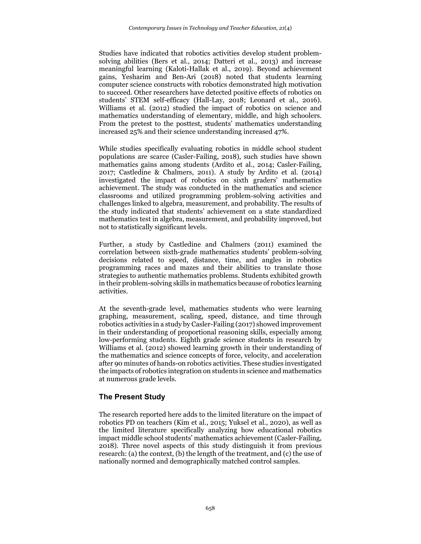Studies have indicated that robotics activities develop student problemsolving abilities (Bers et al., 2014; Datteri et al., 2013) and increase meaningful learning (Kaloti-Hallak et al., 2019). Beyond achievement gains, Yesharim and Ben-Ari (2018) noted that students learning computer science constructs with robotics demonstrated high motivation to succeed. Other researchers have detected positive effects of robotics on students' STEM self-efficacy (Hall-Lay, 2018; Leonard et al., 2016). Williams et al. (2012) studied the impact of robotics on science and mathematics understanding of elementary, middle, and high schoolers. From the pretest to the posttest, students' mathematics understanding increased 25% and their science understanding increased 47%.

While studies specifically evaluating robotics in middle school student populations are scarce (Casler-Failing, 2018), such studies have shown mathematics gains among students (Ardito et al., 2014; Casler-Failing, 2017; Castledine & Chalmers, 2011). A study by Ardito et al. (2014) investigated the impact of robotics on sixth graders' mathematics achievement. The study was conducted in the mathematics and science classrooms and utilized programming problem-solving activities and challenges linked to algebra, measurement, and probability. The results of the study indicated that students' achievement on a state standardized mathematics test in algebra, measurement, and probability improved, but not to statistically significant levels.

Further, a study by Castledine and Chalmers (2011) examined the correlation between sixth-grade mathematics students' problem-solving decisions related to speed, distance, time, and angles in robotics programming races and mazes and their abilities to translate those strategies to authentic mathematics problems. Students exhibited growth in their problem-solving skills in mathematics because of robotics learning activities.

At the seventh-grade level, mathematics students who were learning graphing, measurement, scaling, speed, distance, and time through robotics activities in a study by Casler-Failing (2017) showed improvement in their understanding of proportional reasoning skills, especially among low-performing students. Eighth grade science students in research by Williams et al. (2012) showed learning growth in their understanding of the mathematics and science concepts of force, velocity, and acceleration after 90 minutes of hands-on robotics activities. These studies investigated the impacts of robotics integration on students in science and mathematics at numerous grade levels.

# **The Present Study**

The research reported here adds to the limited literature on the impact of robotics PD on teachers (Kim et al., 2015; Yuksel et al., 2020), as well as the limited literature specifically analyzing how educational robotics impact middle school students' mathematics achievement (Casler-Failing, 2018). Three novel aspects of this study distinguish it from previous research: (a) the context, (b) the length of the treatment, and (c) the use of nationally normed and demographically matched control samples.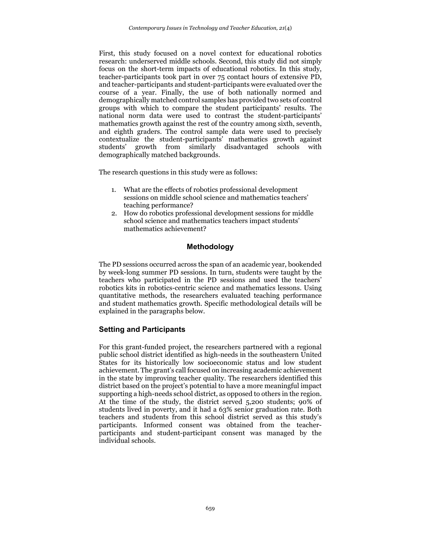First, this study focused on a novel context for educational robotics research: underserved middle schools. Second, this study did not simply focus on the short-term impacts of educational robotics. In this study, teacher-participants took part in over 75 contact hours of extensive PD, and teacher-participants and student-participants were evaluated over the course of a year. Finally, the use of both nationally normed and demographically matched control samples has provided two sets of control groups with which to compare the student participants' results. The national norm data were used to contrast the student-participants' mathematics growth against the rest of the country among sixth, seventh, and eighth graders. The control sample data were used to precisely contextualize the student-participants' mathematics growth against students' growth from similarly disadvantaged schools with demographically matched backgrounds.

The research questions in this study were as follows:

- 1. What are the effects of robotics professional development sessions on middle school science and mathematics teachers' teaching performance?
- 2. How do robotics professional development sessions for middle school science and mathematics teachers impact students' mathematics achievement?

# **Methodology**

The PD sessions occurred across the span of an academic year, bookended by week-long summer PD sessions. In turn, students were taught by the teachers who participated in the PD sessions and used the teachers' robotics kits in robotics-centric science and mathematics lessons. Using quantitative methods, the researchers evaluated teaching performance and student mathematics growth. Specific methodological details will be explained in the paragraphs below.

# **Setting and Participants**

For this grant-funded project, the researchers partnered with a regional public school district identified as high-needs in the southeastern United States for its historically low socioeconomic status and low student achievement. The grant's call focused on increasing academic achievement in the state by improving teacher quality. The researchers identified this district based on the project's potential to have a more meaningful impact supporting a high-needs school district, as opposed to others in the region. At the time of the study, the district served 5,200 students; 90% of students lived in poverty, and it had a 63% senior graduation rate. Both teachers and students from this school district served as this study's participants. Informed consent was obtained from the teacherparticipants and student-participant consent was managed by the individual schools.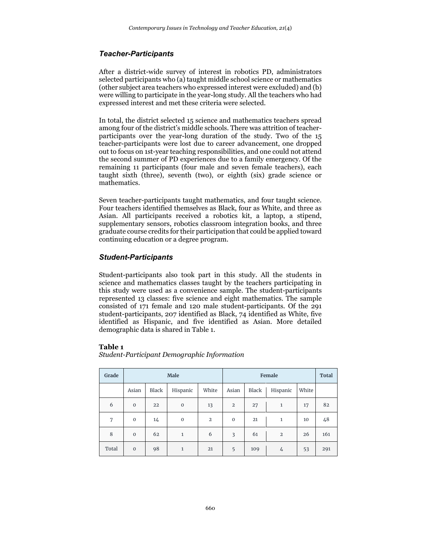# *Teacher-Participants*

After a district-wide survey of interest in robotics PD, administrators selected participants who (a) taught middle school science or mathematics (other subject area teachers who expressed interest were excluded) and (b) were willing to participate in the year-long study. All the teachers who had expressed interest and met these criteria were selected.

In total, the district selected 15 science and mathematics teachers spread among four of the district's middle schools. There was attrition of teacherparticipants over the year-long duration of the study. Two of the 15 teacher-participants were lost due to career advancement, one dropped out to focus on 1st-year teaching responsibilities, and one could not attend the second summer of PD experiences due to a family emergency. Of the remaining 11 participants (four male and seven female teachers), each taught sixth (three), seventh (two), or eighth (six) grade science or mathematics.

Seven teacher-participants taught mathematics, and four taught science. Four teachers identified themselves as Black, four as White, and three as Asian. All participants received a robotics kit, a laptop, a stipend, supplementary sensors, robotics classroom integration books, and three graduate course credits for their participation that could be applied toward continuing education or a degree program.

# *Student-Participants*

Student-participants also took part in this study. All the students in science and mathematics classes taught by the teachers participating in this study were used as a convenience sample. The student-participants represented 13 classes: five science and eight mathematics. The sample consisted of 171 female and 120 male student-participants. Of the 291 student-participants, 207 identified as Black, 74 identified as White, five identified as Hispanic, and five identified as Asian. More detailed demographic data is shared in Table 1.

#### **Table 1**

*Student-Participant Demographic Information*

| Grade | <b>Male</b>  |              |             | Female         |              |       |                | <b>Total</b> |     |
|-------|--------------|--------------|-------------|----------------|--------------|-------|----------------|--------------|-----|
|       | Asian        | <b>Black</b> | Hispanic    | White          | Asian        | Black | Hispanic       | White        |     |
| 6     | $\mathbf{O}$ | 22           | $\mathbf 0$ | 13             | $\mathbf{2}$ | 27    | 1              | 17           | 82  |
| 7     | $\mathbf 0$  | 14           | $\mathbf 0$ | $\overline{2}$ | $\mathbf 0$  | 21    | 1              | 10           | 48  |
| 8     | $\mathbf 0$  | 62           | 1           | 6              | 3            | 61    | $\overline{2}$ | 26           | 161 |
| Total | $\mathbf{0}$ | 98           | 1           | 21             | 5            | 109   | 4              | 53           | 291 |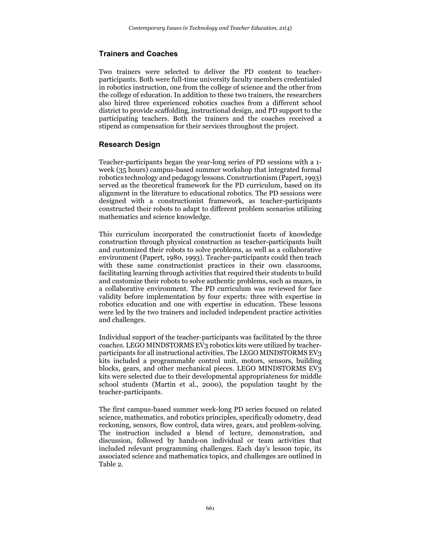#### **Trainers and Coaches**

Two trainers were selected to deliver the PD content to teacherparticipants. Both were full-time university faculty members credentialed in robotics instruction, one from the college of science and the other from the college of education. In addition to these two trainers, the researchers also hired three experienced robotics coaches from a different school district to provide scaffolding, instructional design, and PD support to the participating teachers. Both the trainers and the coaches received a stipend as compensation for their services throughout the project.

# **Research Design**

Teacher-participants began the year-long series of PD sessions with a 1 week (35 hours) campus-based summer workshop that integrated formal robotics technology and pedagogy lessons. Constructionism (Papert, 1993) served as the theoretical framework for the PD curriculum, based on its alignment in the literature to educational robotics. The PD sessions were designed with a constructionist framework, as teacher-participants constructed their robots to adapt to different problem scenarios utilizing mathematics and science knowledge.

This curriculum incorporated the constructionist facets of knowledge construction through physical construction as teacher-participants built and customized their robots to solve problems, as well as a collaborative environment (Papert, 1980, 1993). Teacher-participants could then teach with these same constructionist practices in their own classrooms, facilitating learning through activities that required their students to build and customize their robots to solve authentic problems, such as mazes, in a collaborative environment. The PD curriculum was reviewed for face validity before implementation by four experts: three with expertise in robotics education and one with expertise in education. These lessons were led by the two trainers and included independent practice activities and challenges.

Individual support of the teacher-participants was facilitated by the three coaches. LEGO MINDSTORMS EV3 robotics kits were utilized by teacherparticipants for all instructional activities. The LEGO MINDSTORMS EV3 kits included a programmable control unit, motors, sensors, building blocks, gears, and other mechanical pieces. LEGO MINDSTORMS EV3 kits were selected due to their developmental appropriateness for middle school students (Martin et al., 2000), the population taught by the teacher-participants.

The first campus-based summer week-long PD series focused on related science, mathematics, and robotics principles, specifically odometry, dead reckoning, sensors, flow control, data wires, gears, and problem-solving. The instruction included a blend of lecture, demonstration, and discussion, followed by hands-on individual or team activities that included relevant programming challenges. Each day's lesson topic, its associated science and mathematics topics, and challenges are outlined in Table 2.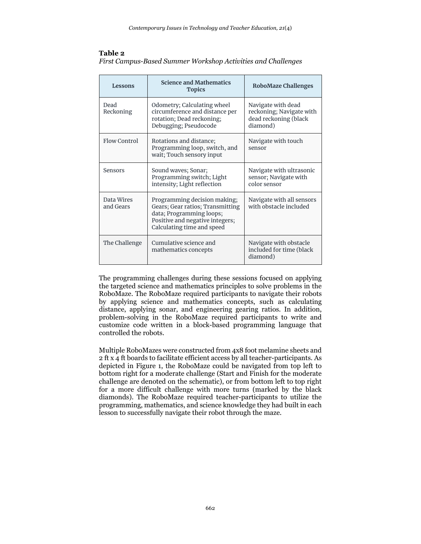#### **Table 2**

| First Campus-Based Summer Workshop Activities and Challenges |  |  |
|--------------------------------------------------------------|--|--|
|                                                              |  |  |

| Lessons                 | <b>Science and Mathematics</b><br><b>Topics</b>                                                                                                               | <b>RoboMaze Challenges</b>                                                          |
|-------------------------|---------------------------------------------------------------------------------------------------------------------------------------------------------------|-------------------------------------------------------------------------------------|
| Dead<br>Reckoning       | Odometry; Calculating wheel<br>circumference and distance per<br>rotation; Dead reckoning;<br>Debugging; Pseudocode                                           | Navigate with dead<br>reckoning; Navigate with<br>dead reckoning (black<br>diamond) |
| Flow Control            | Rotations and distance;<br>Programming loop, switch, and<br>wait; Touch sensory input                                                                         | Navigate with touch<br>sensor                                                       |
| Sensors                 | Sound waves; Sonar;<br>Programming switch; Light<br>intensity; Light reflection                                                                               | Navigate with ultrasonic<br>sensor; Navigate with<br>color sensor                   |
| Data Wires<br>and Gears | Programming decision making;<br>Gears; Gear ratios; Transmitting<br>data; Programming loops;<br>Positive and negative integers;<br>Calculating time and speed | Navigate with all sensors<br>with obstacle included                                 |
| The Challenge           | Cumulative science and<br>mathematics concepts                                                                                                                | Navigate with obstacle<br>included for time (black<br>diamond)                      |

The programming challenges during these sessions focused on applying the targeted science and mathematics principles to solve problems in the RoboMaze. The RoboMaze required participants to navigate their robots by applying science and mathematics concepts, such as calculating distance, applying sonar, and engineering gearing ratios. In addition, problem-solving in the RoboMaze required participants to write and customize code written in a block-based programming language that controlled the robots.

Multiple RoboMazes were constructed from 4x8 foot melamine sheets and 2 ft x 4 ft boards to facilitate efficient access by all teacher-participants. As depicted in Figure 1, the RoboMaze could be navigated from top left to bottom right for a moderate challenge (Start and Finish for the moderate challenge are denoted on the schematic), or from bottom left to top right for a more difficult challenge with more turns (marked by the black diamonds). The RoboMaze required teacher-participants to utilize the programming, mathematics, and science knowledge they had built in each lesson to successfully navigate their robot through the maze.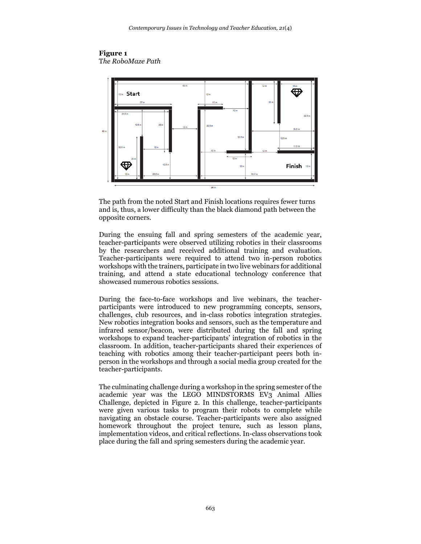



The path from the noted Start and Finish locations requires fewer turns and is, thus, a lower difficulty than the black diamond path between the opposite corners.

During the ensuing fall and spring semesters of the academic year, teacher-participants were observed utilizing robotics in their classrooms by the researchers and received additional training and evaluation. Teacher-participants were required to attend two in-person robotics workshops with the trainers, participate in two live webinars for additional training, and attend a state educational technology conference that showcased numerous robotics sessions.

During the face-to-face workshops and live webinars, the teacherparticipants were introduced to new programming concepts, sensors, challenges, club resources, and in-class robotics integration strategies. New robotics integration books and sensors, such as the temperature and infrared sensor/beacon, were distributed during the fall and spring workshops to expand teacher-participants' integration of robotics in the classroom. In addition, teacher-participants shared their experiences of teaching with robotics among their teacher-participant peers both inperson in the workshops and through a social media group created for the teacher-participants.

The culminating challenge during a workshop in the spring semester of the academic year was the LEGO MINDSTORMS EV3 Animal Allies Challenge, depicted in Figure 2. In this challenge, teacher-participants were given various tasks to program their robots to complete while navigating an obstacle course. Teacher-participants were also assigned homework throughout the project tenure, such as lesson plans, implementation videos, and critical reflections. In-class observations took place during the fall and spring semesters during the academic year.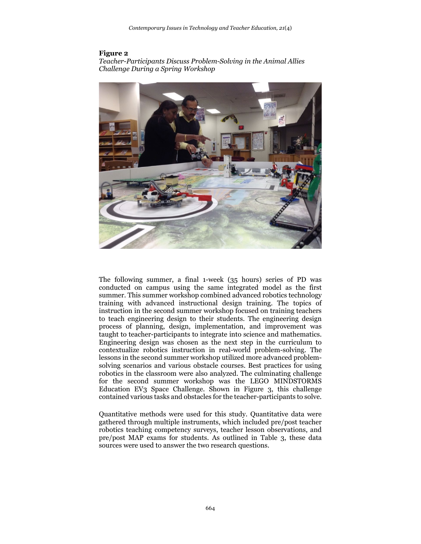#### **Figure 2**

*Teacher-Participants Discuss Problem-Solving in the Animal Allies Challenge During a Spring Workshop*



The following summer, a final 1-week (35 hours) series of PD was conducted on campus using the same integrated model as the first summer. This summer workshop combined advanced robotics technology training with advanced instructional design training. The topics of instruction in the second summer workshop focused on training teachers to teach engineering design to their students. The engineering design process of planning, design, implementation, and improvement was taught to teacher-participants to integrate into science and mathematics. Engineering design was chosen as the next step in the curriculum to contextualize robotics instruction in real-world problem-solving. The lessons in the second summer workshop utilized more advanced problemsolving scenarios and various obstacle courses. Best practices for using robotics in the classroom were also analyzed. The culminating challenge for the second summer workshop was the LEGO MINDSTORMS Education EV3 Space Challenge. Shown in Figure 3, this challenge contained various tasks and obstacles for the teacher-participants to solve.

Quantitative methods were used for this study. Quantitative data were gathered through multiple instruments, which included pre/post teacher robotics teaching competency surveys, teacher lesson observations, and pre/post MAP exams for students. As outlined in Table 3, these data sources were used to answer the two research questions.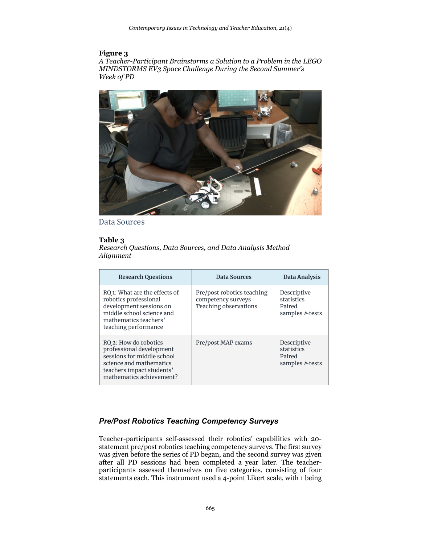## **Figure 3**

*A Teacher-Participant Brainstorms a Solution to a Problem in the LEGO MINDSTORMS EV3 Space Challenge During the Second Summer's Week of PD*



Data Sources

# **Table 3**

*Research Questions, Data Sources, and Data Analysis Method Alignment*

| <b>Research Questions</b>                                                                                                                                           | Data Sources                                                                     | Data Analysis                                          |
|---------------------------------------------------------------------------------------------------------------------------------------------------------------------|----------------------------------------------------------------------------------|--------------------------------------------------------|
| RQ 1: What are the effects of<br>robotics professional<br>development sessions on<br>middle school science and<br>mathematics teachers'<br>teaching performance     | Pre/post robotics teaching<br>competency surveys<br><b>Teaching observations</b> | Descriptive<br>statistics<br>Paired<br>samples t-tests |
| RQ 2: How do robotics<br>professional development<br>sessions for middle school<br>science and mathematics<br>teachers impact students'<br>mathematics achievement? | Pre/post MAP exams                                                               | Descriptive<br>statistics<br>Paired<br>samples t-tests |

# *Pre/Post Robotics Teaching Competency Surveys*

Teacher-participants self-assessed their robotics' capabilities with 20 statement pre/post robotics teaching competency surveys. The first survey was given before the series of PD began, and the second survey was given after all PD sessions had been completed a year later. The teacherparticipants assessed themselves on five categories, consisting of four statements each. This instrument used a 4-point Likert scale, with 1 being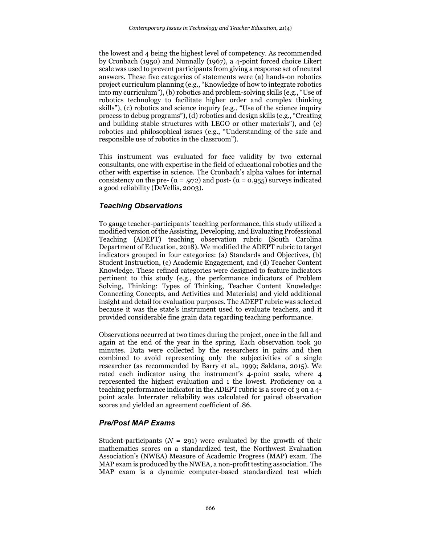the lowest and 4 being the highest level of competency. As recommended by Cronbach (1950) and Nunnally (1967), a 4-point forced choice Likert scale was used to prevent participants from giving a response set of neutral answers. These five categories of statements were (a) hands-on robotics project curriculum planning (e.g., "Knowledge of how to integrate robotics into my curriculum"), (b) robotics and problem-solving skills (e.g., "Use of robotics technology to facilitate higher order and complex thinking skills"), (c) robotics and science inquiry (e.g., "Use of the science inquiry process to debug programs"), (d) robotics and design skills (e.g., "Creating and building stable structures with LEGO or other materials"), and (e) robotics and philosophical issues (e.g., "Understanding of the safe and responsible use of robotics in the classroom").

This instrument was evaluated for face validity by two external consultants, one with expertise in the field of educational robotics and the other with expertise in science. The Cronbach's alpha values for internal consistency on the pre- ( $\alpha$  = .972) and post- ( $\alpha$  = 0.955) surveys indicated a good reliability (DeVellis, 2003).

# *Teaching Observations*

To gauge teacher-participants' teaching performance, this study utilized a modified version of the Assisting, Developing, and Evaluating Professional Teaching (ADEPT) teaching observation rubric (South Carolina Department of Education, 2018). We modified the ADEPT rubric to target indicators grouped in four categories: (a) Standards and Objectives, (b) Student Instruction, (c) Academic Engagement, and (d) Teacher Content Knowledge. These refined categories were designed to feature indicators pertinent to this study (e.g., the performance indicators of Problem Solving, Thinking: Types of Thinking, Teacher Content Knowledge: Connecting Concepts, and Activities and Materials) and yield additional insight and detail for evaluation purposes. The ADEPT rubric was selected because it was the state's instrument used to evaluate teachers, and it provided considerable fine grain data regarding teaching performance.

Observations occurred at two times during the project, once in the fall and again at the end of the year in the spring. Each observation took 30 minutes. Data were collected by the researchers in pairs and then combined to avoid representing only the subjectivities of a single researcher (as recommended by Barry et al., 1999; Saldana, 2015). We rated each indicator using the instrument's 4-point scale, where 4 represented the highest evaluation and 1 the lowest. Proficiency on a teaching performance indicator in the ADEPT rubric is a score of 3 on a 4 point scale. Interrater reliability was calculated for paired observation scores and yielded an agreement coefficient of .86.

# *Pre/Post MAP Exams*

Student-participants  $(N = 291)$  were evaluated by the growth of their mathematics scores on a standardized test, the Northwest Evaluation Association's (NWEA) Measure of Academic Progress (MAP) exam. The MAP exam is produced by the NWEA, a non-profit testing association. The MAP exam is a dynamic computer-based standardized test which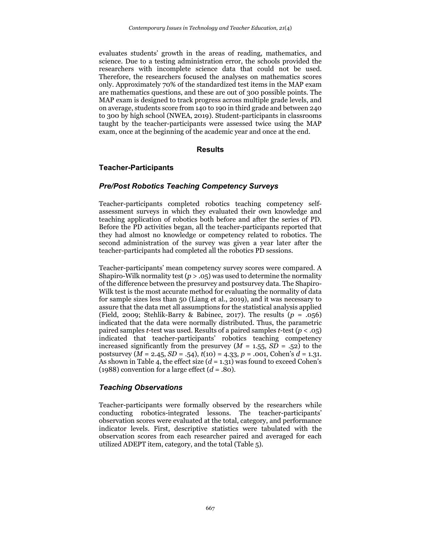evaluates students' growth in the areas of reading, mathematics, and science. Due to a testing administration error, the schools provided the researchers with incomplete science data that could not be used. Therefore, the researchers focused the analyses on mathematics scores only. Approximately 70% of the standardized test items in the MAP exam are mathematics questions, and these are out of 300 possible points. The MAP exam is designed to track progress across multiple grade levels, and on average, students score from 140 to 190 in third grade and between 240 to 300 by high school (NWEA, 2019). Student-participants in classrooms taught by the teacher-participants were assessed twice using the MAP exam, once at the beginning of the academic year and once at the end.

#### **Results**

# **Teacher-Participants**

# *Pre/Post Robotics Teaching Competency Surveys*

Teacher-participants completed robotics teaching competency selfassessment surveys in which they evaluated their own knowledge and teaching application of robotics both before and after the series of PD. Before the PD activities began, all the teacher-participants reported that they had almost no knowledge or competency related to robotics. The second administration of the survey was given a year later after the teacher-participants had completed all the robotics PD sessions.

Teacher-participants' mean competency survey scores were compared. A Shapiro-Wilk normality test  $(p > .05)$  was used to determine the normality of the difference between the presurvey and postsurvey data. The Shapiro-Wilk test is the most accurate method for evaluating the normality of data for sample sizes less than 50 (Liang et al., 2019), and it was necessary to assure that the data met all assumptions for the statistical analysis applied (Field, 2009; Stehlik-Barry & Babinec, 2017). The results (*p* = .056) indicated that the data were normally distributed. Thus, the parametric paired samples *t*-test was used. Results of a paired samples *t*-test (*p* < .05) indicated that teacher-participants' robotics teaching competency increased significantly from the presurvey  $(M = 1.55, SD = .52)$  to the postsurvey (*M* = 2.45, *SD* = .54), *t*(10) = 4.33, *p* = .001, Cohen's *d* = 1.31. As shown in Table 4, the effect size (*d* = 1.31) was found to exceed Cohen's (1988) convention for a large effect  $(d = .80)$ .

#### *Teaching Observations*

Teacher-participants were formally observed by the researchers while conducting robotics-integrated lessons. The teacher-participants' observation scores were evaluated at the total, category, and performance indicator levels. First, descriptive statistics were tabulated with the observation scores from each researcher paired and averaged for each utilized ADEPT item, category, and the total (Table 5).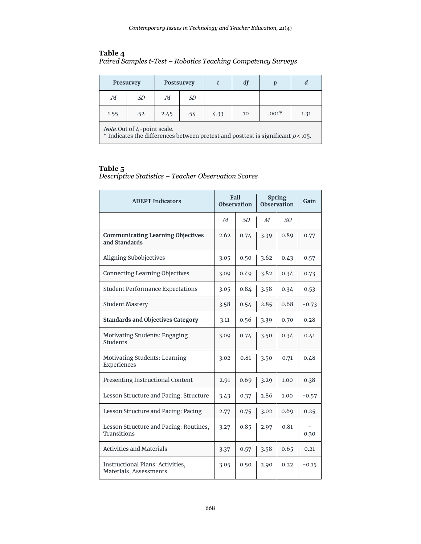# **Table 4**

|  | Paired Samples t-Test - Robotics Teaching Competency Surveys |
|--|--------------------------------------------------------------|
|  |                                                              |

|      | Presurvey                          |      | Postsurvey |      | df |         | d    |
|------|------------------------------------|------|------------|------|----|---------|------|
| М    | SD                                 | М    | SD         |      |    |         |      |
| 1.55 | .52                                | 2.45 | .54        | 4.33 | 10 | $.001*$ | 1.31 |
|      | <i>Note.</i> Out of 4-point scale. |      |            |      |    |         |      |

\* Indicates the differences between pretest and posttest is significant  $p<$  .05.

# **Table 5**

*Descriptive Statistics – Teacher Observation Scores*

| <b>ADEPT Indicators</b>                                    |      | <b>Fall</b><br><b>Observation</b> | <b>Spring</b><br><b>Observation</b> |      | Gain    |
|------------------------------------------------------------|------|-----------------------------------|-------------------------------------|------|---------|
|                                                            | M    | SD                                | М                                   | SD   |         |
| <b>Communicating Learning Objectives</b><br>and Standards  | 2.62 | 0.74                              | 3.39                                | 0.89 | 0.77    |
| Aligning Subobjectives                                     | 3.05 | 0.50                              | 3.62                                | 0.43 | 0.57    |
| <b>Connecting Learning Objectives</b>                      | 3.09 | 0.49                              | 3.82                                | 0.34 | 0.73    |
| <b>Student Performance Expectations</b>                    | 3.05 | 0.84                              | 3.58                                | 0.34 | 0.53    |
| <b>Student Mastery</b>                                     | 3.58 | 0.54                              | 2.85                                | 0.68 | $-0.73$ |
| <b>Standards and Objectives Category</b>                   | 3.11 | 0.56                              | 3.39                                | 0.70 | 0.28    |
| Motivating Students: Engaging<br>Students                  | 3.09 | 0.74                              | 3.50                                | 0.34 | 0.41    |
| <b>Motivating Students: Learning</b><br>Experiences        | 3.02 | 0.81                              | 3.50                                | 0.71 | 0.48    |
| Presenting Instructional Content                           | 2.91 | 0.69                              | 3.29                                | 1.00 | 0.38    |
| Lesson Structure and Pacing: Structure                     | 3.43 | 0.37                              | 2.86                                | 1.00 | $-0.57$ |
| Lesson Structure and Pacing: Pacing                        | 2.77 | 0.75                              | 3.02                                | 0.69 | 0.25    |
| Lesson Structure and Pacing: Routines,<br>Transitions      | 3.27 | 0.85                              | 2.97                                | 0.81 | 0.30    |
| <b>Activities and Materials</b>                            | 3.37 | 0.57                              | 3.58                                | 0.65 | 0.21    |
| Instructional Plans: Activities,<br>Materials, Assessments | 3.05 | 0.50                              | 2.90                                | 0.22 | $-0.15$ |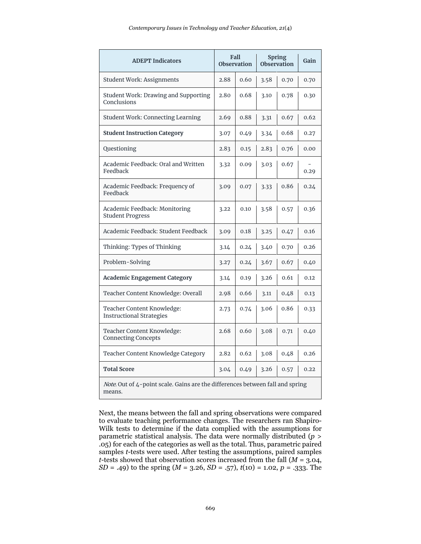| <b>ADEPT Indicators</b>                                                                 |      | Fall<br><b>Observation</b> |      | <b>Spring</b><br><b>Observation</b> | Gain |
|-----------------------------------------------------------------------------------------|------|----------------------------|------|-------------------------------------|------|
| <b>Student Work: Assignments</b>                                                        | 2.88 | 0.60                       | 3.58 | 0.70                                | 0.70 |
| <b>Student Work: Drawing and Supporting</b><br>Conclusions                              | 2.80 | 0.68                       | 3.10 | 0.78                                | 0.30 |
| <b>Student Work: Connecting Learning</b>                                                | 2.69 | 0.88                       | 3.31 | 0.67                                | 0.62 |
| <b>Student Instruction Category</b>                                                     | 3.07 | 0.49                       | 3.34 | 0.68                                | 0.27 |
| Questioning                                                                             | 2.83 | 0.15                       | 2.83 | 0.76                                | 0.00 |
| Academic Feedback: Oral and Written<br>Feedback                                         | 3.32 | 0.09                       | 3.03 | 0.67                                | 0.29 |
| Academic Feedback: Frequency of<br>Feedback                                             | 3.09 | 0.07                       | 3.33 | 0.86                                | 0.24 |
| Academic Feedback: Monitoring<br><b>Student Progress</b>                                | 3.22 | 0.10                       | 3.58 | 0.57                                | 0.36 |
| Academic Feedback: Student Feedback                                                     | 3.09 | 0.18                       | 3.25 | 0.47                                | 0.16 |
| Thinking: Types of Thinking                                                             | 3.14 | 0.24                       | 3.40 | 0.70                                | 0.26 |
| Problem-Solving                                                                         | 3.27 | 0.24                       | 3.67 | 0.67                                | 0.40 |
| <b>Academic Engagement Category</b>                                                     | 3.14 | 0.19                       | 3.26 | 0.61                                | 0.12 |
| Teacher Content Knowledge: Overall                                                      | 2.98 | 0.66                       | 3.11 | 0.48                                | 0.13 |
| Teacher Content Knowledge:<br><b>Instructional Strategies</b>                           | 2.73 | 0.74                       | 3.06 | 0.86                                | 0.33 |
| Teacher Content Knowledge:<br><b>Connecting Concepts</b>                                | 2.68 | 0.60                       | 3.08 | 0.71                                | 0.40 |
| Teacher Content Knowledge Category                                                      | 2.82 | 0.62                       | 3.08 | 0.48                                | 0.26 |
| <b>Total Score</b>                                                                      | 3.04 | 0.49                       | 3.26 | 0.57                                | 0.22 |
| Note. Out of 4-point scale. Gains are the differences between fall and spring<br>means. |      |                            |      |                                     |      |

Next, the means between the fall and spring observations were compared to evaluate teaching performance changes. The researchers ran Shapiro-Wilk tests to determine if the data complied with the assumptions for parametric statistical analysis. The data were normally distributed (*p* > .05) for each of the categories as well as the total. Thus, parametric paired samples *t*-tests were used. After testing the assumptions, paired samples *t*-tests showed that observation scores increased from the fall (*M* = 3.04, *SD* = .49) to the spring (*M* = 3.26, *SD* = .57), *t*(10) = 1.02, *p* = .333. The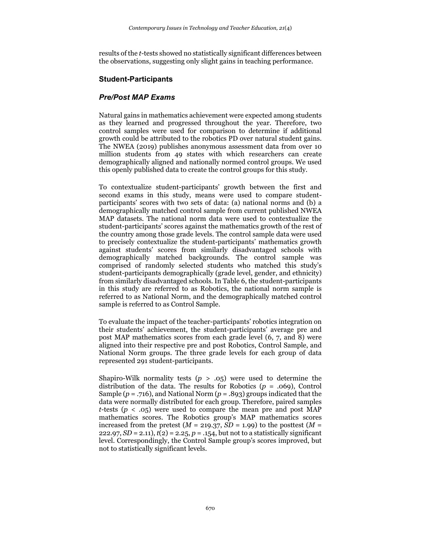results of the *t*-tests showed no statistically significant differences between the observations, suggesting only slight gains in teaching performance.

# **Student-Participants**

# *Pre/Post MAP Exams*

Natural gains in mathematics achievement were expected among students as they learned and progressed throughout the year. Therefore, two control samples were used for comparison to determine if additional growth could be attributed to the robotics PD over natural student gains. The NWEA (2019) publishes anonymous assessment data from over 10 million students from 49 states with which researchers can create demographically aligned and nationally normed control groups. We used this openly published data to create the control groups for this study.

To contextualize student-participants' growth between the first and second exams in this study, means were used to compare studentparticipants' scores with two sets of data: (a) national norms and (b) a demographically matched control sample from current published NWEA MAP datasets. The national norm data were used to contextualize the student-participants' scores against the mathematics growth of the rest of the country among those grade levels. The control sample data were used to precisely contextualize the student-participants' mathematics growth against students' scores from similarly disadvantaged schools with demographically matched backgrounds. The control sample was comprised of randomly selected students who matched this study's student-participants demographically (grade level, gender, and ethnicity) from similarly disadvantaged schools. In Table 6, the student-participants in this study are referred to as Robotics, the national norm sample is referred to as National Norm, and the demographically matched control sample is referred to as Control Sample.

To evaluate the impact of the teacher-participants' robotics integration on their students' achievement, the student-participants' average pre and post MAP mathematics scores from each grade level (6, 7, and 8) were aligned into their respective pre and post Robotics, Control Sample, and National Norm groups. The three grade levels for each group of data represented 291 student-participants.

Shapiro-Wilk normality tests  $(p > .05)$  were used to determine the distribution of the data. The results for Robotics  $(p = .069)$ , Control Sample (*p* = .716), and National Norm (*p* = .893) groups indicated that the data were normally distributed for each group. Therefore, paired samples *t*-tests ( $p < .05$ ) were used to compare the mean pre and post MAP mathematics scores. The Robotics group's MAP mathematics scores increased from the pretest  $(M = 219.37, SD = 1.99)$  to the posttest  $(M =$ 222.97,  $SD = 2.11$ ,  $t(2) = 2.25$ ,  $p = .154$ , but not to a statistically significant level. Correspondingly, the Control Sample group's scores improved, but not to statistically significant levels.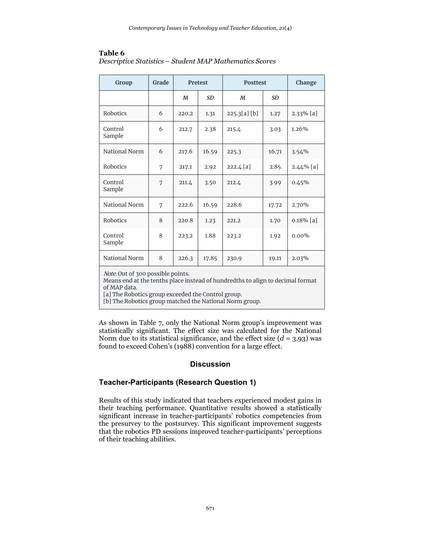| Group             | Grade |       | <b>Pretest</b><br><b>Posttest</b> |             | Change    |              |
|-------------------|-------|-------|-----------------------------------|-------------|-----------|--------------|
|                   |       | M     | <b>SD</b>                         | M           | <b>SD</b> |              |
| Robotics          | 6     | 220.2 | 1.31                              | 225.3[a][b] | 1.27      | $2.33\%$ [a] |
| Control<br>Sample | 6     | 212.7 | 2.38                              | 215.4       | 3.03      | 1.26%        |
| National Norm     | 6     | 217.6 | 16.59                             | 225.3       | 16.71     | 3.54%        |
| Robotics          | 7     | 217.1 | 2.92                              | 222.4 [a]   | 2.85      | $2.44\%$ [a] |
| Control<br>Sample | 7     | 211.4 | 3.50                              | 212.4       | 3.99      | 0.45%        |
| National Norm     | 7     | 222.6 | 16.59                             | 228.6       | 17.72     | 2.70%        |
| Robotics          | 8     | 220.8 | 1.23                              | 221.2       | 1.70      | $0.18\%$ [a] |
| Control<br>Sample | 8     | 223.2 | 1.88                              | 223.2       | 1.92      | $0.00\%$     |
| National Norm     | 8     | 226.3 | 17.85                             | 230.9       | 19.11     | 2.03%        |

# **Table 6**

| Descriptive Statistics - Student MAP Mathematics Scores |  |  |
|---------------------------------------------------------|--|--|
|                                                         |  |  |

Note. Out of 300 possible points.

Means end at the tenths place instead of hundredths to align to decimal format of MAP data.

[a] The Robotics group exceeded the Control group.

[b] The Robotics group matched the National Norm group.

As shown in Table 7, only the National Norm group's improvement was statistically significant. The effect size was calculated for the National Norm due to its statistical significance, and the effect size  $(d = 3.93)$  was found to exceed Cohen's (1988) convention for a large effect.

# **Discussion**

# **Teacher-Participants (Research Question 1)**

Results of this study indicated that teachers experienced modest gains in their teaching performance. Quantitative results showed a statistically significant increase in teacher-participants' robotics competencies from the presurvey to the postsurvey. This significant improvement suggests that the robotics PD sessions improved teacher-participants' perceptions of their teaching abilities.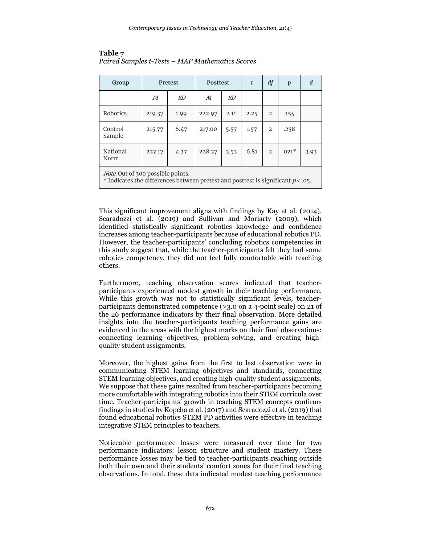| Group                                                                                                                          |        | <b>Pretest</b> | <b>Posttest</b> |      |      | df             | $\boldsymbol{p}$ | d    |
|--------------------------------------------------------------------------------------------------------------------------------|--------|----------------|-----------------|------|------|----------------|------------------|------|
|                                                                                                                                | M      | SD             | М               | SD   |      |                |                  |      |
| Robotics                                                                                                                       | 219.37 | 1.99           | 222.97          | 2.11 | 2.25 | $\mathfrak{D}$ | .154             |      |
| Control<br>Sample                                                                                                              | 215.77 | 6.47           | 217.00          | 5.57 | 1.57 | $\mathfrak{D}$ | .258             |      |
| National<br>Norm                                                                                                               | 222.17 | 4.37           | 228.27          | 2.52 | 6.81 | $\mathfrak{D}$ | $.021*$          | 3.93 |
| <i>Note.</i> Out of 300 possible points.<br>* Indicates the differences between pretest and posttest is significant $p<0.05$ . |        |                |                 |      |      |                |                  |      |

#### **Table 7** *Paired Samples t-Tests – MAP Mathematics Scores*

This significant improvement aligns with findings by Kay et al. (2014), Scaradozzi et al. (2019) and Sullivan and Moriarty (2009), which identified statistically significant robotics knowledge and confidence increases among teacher-participants because of educational robotics PD. However, the teacher-participants' concluding robotics competencies in this study suggest that, while the teacher-participants felt they had some robotics competency, they did not feel fully comfortable with teaching others.

Furthermore, teaching observation scores indicated that teacherparticipants experienced modest growth in their teaching performance. While this growth was not to statistically significant levels, teacherparticipants demonstrated competence (>3.0 on a 4-point scale) on 21 of the 26 performance indicators by their final observation. More detailed insights into the teacher-participants teaching performance gains are evidenced in the areas with the highest marks on their final observations: connecting learning objectives, problem-solving, and creating highquality student assignments.

Moreover, the highest gains from the first to last observation were in communicating STEM learning objectives and standards, connecting STEM learning objectives, and creating high-quality student assignments. We suppose that these gains resulted from teacher-participants becoming more comfortable with integrating robotics into their STEM curricula over time. Teacher-participants' growth in teaching STEM concepts confirms findings in studies by Kopcha et al. (2017) and Scaradozzi et al. (2019) that found educational robotics STEM PD activities were effective in teaching integrative STEM principles to teachers.

Noticeable performance losses were measured over time for two performance indicators: lesson structure and student mastery. These performance losses may be tied to teacher-participants reaching outside both their own and their students' comfort zones for their final teaching observations. In total, these data indicated modest teaching performance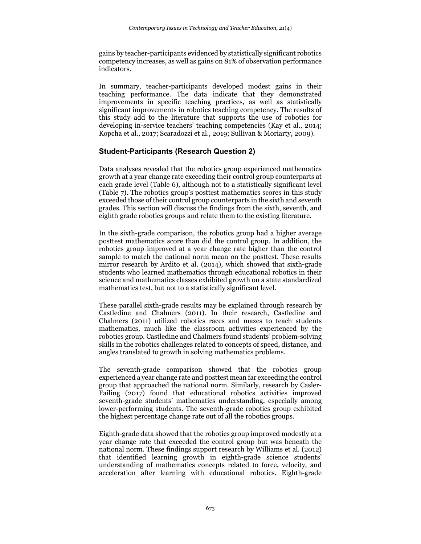gains by teacher-participants evidenced by statistically significant robotics competency increases, as well as gains on 81% of observation performance indicators.

In summary, teacher-participants developed modest gains in their teaching performance. The data indicate that they demonstrated improvements in specific teaching practices, as well as statistically significant improvements in robotics teaching competency. The results of this study add to the literature that supports the use of robotics for developing in-service teachers' teaching competencies (Kay et al., 2014; Kopcha et al., 2017; Scaradozzi et al., 2019; Sullivan & Moriarty, 2009).

# **Student-Participants (Research Question 2)**

Data analyses revealed that the robotics group experienced mathematics growth at a year change rate exceeding their control group counterparts at each grade level (Table 6), although not to a statistically significant level (Table 7). The robotics group's posttest mathematics scores in this study exceeded those of their control group counterparts in the sixth and seventh grades. This section will discuss the findings from the sixth, seventh, and eighth grade robotics groups and relate them to the existing literature.

In the sixth-grade comparison, the robotics group had a higher average posttest mathematics score than did the control group. In addition, the robotics group improved at a year change rate higher than the control sample to match the national norm mean on the posttest. These results mirror research by Ardito et al. (2014), which showed that sixth-grade students who learned mathematics through educational robotics in their science and mathematics classes exhibited growth on a state standardized mathematics test, but not to a statistically significant level.

These parallel sixth-grade results may be explained through research by Castledine and Chalmers (2011). In their research, Castledine and Chalmers (2011) utilized robotics races and mazes to teach students mathematics, much like the classroom activities experienced by the robotics group. Castledine and Chalmers found students' problem-solving skills in the robotics challenges related to concepts of speed, distance, and angles translated to growth in solving mathematics problems.

The seventh-grade comparison showed that the robotics group experienced a year change rate and posttest mean far exceeding the control group that approached the national norm. Similarly, research by Casler-Failing (2017) found that educational robotics activities improved seventh-grade students' mathematics understanding, especially among lower-performing students. The seventh-grade robotics group exhibited the highest percentage change rate out of all the robotics groups.

Eighth-grade data showed that the robotics group improved modestly at a year change rate that exceeded the control group but was beneath the national norm. These findings support research by Williams et al. (2012) that identified learning growth in eighth-grade science students' understanding of mathematics concepts related to force, velocity, and acceleration after learning with educational robotics. Eighth-grade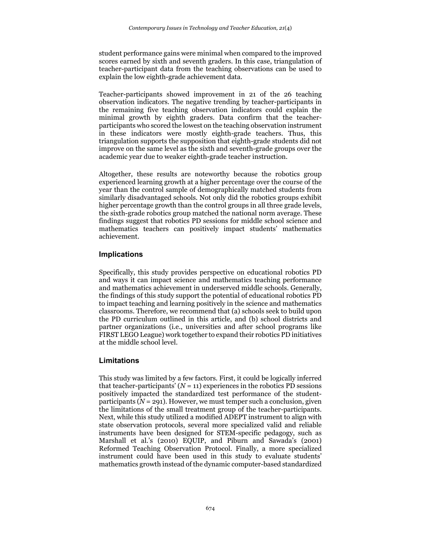student performance gains were minimal when compared to the improved scores earned by sixth and seventh graders. In this case, triangulation of teacher-participant data from the teaching observations can be used to explain the low eighth-grade achievement data.

Teacher-participants showed improvement in 21 of the 26 teaching observation indicators. The negative trending by teacher-participants in the remaining five teaching observation indicators could explain the minimal growth by eighth graders. Data confirm that the teacherparticipants who scored the lowest on the teaching observation instrument in these indicators were mostly eighth-grade teachers. Thus, this triangulation supports the supposition that eighth-grade students did not improve on the same level as the sixth and seventh-grade groups over the academic year due to weaker eighth-grade teacher instruction.

Altogether, these results are noteworthy because the robotics group experienced learning growth at a higher percentage over the course of the year than the control sample of demographically matched students from similarly disadvantaged schools. Not only did the robotics groups exhibit higher percentage growth than the control groups in all three grade levels, the sixth-grade robotics group matched the national norm average. These findings suggest that robotics PD sessions for middle school science and mathematics teachers can positively impact students' mathematics achievement.

# **Implications**

Specifically, this study provides perspective on educational robotics PD and ways it can impact science and mathematics teaching performance and mathematics achievement in underserved middle schools. Generally, the findings of this study support the potential of educational robotics PD to impact teaching and learning positively in the science and mathematics classrooms. Therefore, we recommend that (a) schools seek to build upon the PD curriculum outlined in this article, and (b) school districts and partner organizations (i.e., universities and after school programs like FIRST LEGO League) work together to expand their robotics PD initiatives at the middle school level.

# **Limitations**

This study was limited by a few factors. First, it could be logically inferred that teacher-participants'  $(N = 11)$  experiences in the robotics PD sessions positively impacted the standardized test performance of the studentparticipants  $(N = 291)$ . However, we must temper such a conclusion, given the limitations of the small treatment group of the teacher-participants. Next, while this study utilized a modified ADEPT instrument to align with state observation protocols, several more specialized valid and reliable instruments have been designed for STEM-specific pedagogy, such as Marshall et al.'s (2010) EQUIP, and Piburn and Sawada's (2001) Reformed Teaching Observation Protocol. Finally, a more specialized instrument could have been used in this study to evaluate students' mathematics growth instead of the dynamic computer-based standardized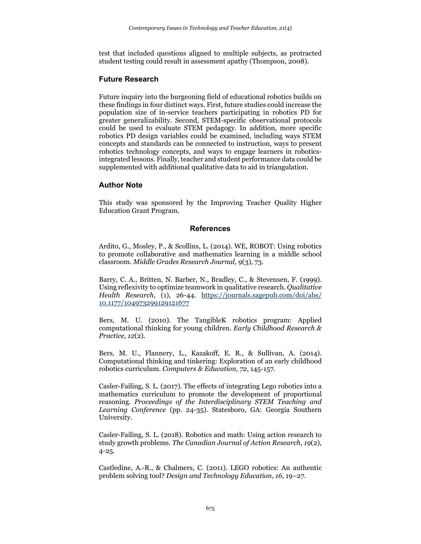test that included questions aligned to multiple subjects, as protracted student testing could result in assessment apathy (Thompson, 2008).

# **Future Research**

Future inquiry into the burgeoning field of educational robotics builds on these findings in four distinct ways. First, future studies could increase the population size of in-service teachers participating in robotics PD for greater generalizability. Second, STEM-specific observational protocols could be used to evaluate STEM pedagogy. In addition, more specific robotics PD design variables could be examined, including ways STEM concepts and standards can be connected to instruction, ways to present robotics technology concepts, and ways to engage learners in roboticsintegrated lessons. Finally, teacher and student performance data could be supplemented with additional qualitative data to aid in triangulation.

# **Author Note**

This study was sponsored by the Improving Teacher Quality Higher Education Grant Program.

# **References**

Ardito, G., Mosley, P., & Scollins, L. (2014). WE, ROBOT: Using robotics to promote collaborative and mathematics learning in a middle school classroom. *Middle Grades Research Journal, 9*(3), 73.

Barry, C. A., Britten, N. Barber, N., Bradley, C., & Stevensen, F. (1999). Using reflexivity to optimize teamwork in qualitative research. *Qualitative Health Research*, (1), 26-44. [https://journals.sagepub.com/doi/abs/](https://journals.sagepub.com/doi/abs/%2010.1177/104973299129121677) [10.1177/104973299129121677](https://journals.sagepub.com/doi/abs/%2010.1177/104973299129121677)

Bers, M. U. (2010). The TangibleK robotics program: Applied computational thinking for young children. *Early Childhood Research & Practice, 12*(2).

Bers, M. U., Flannery, L., Kazakoff, E. R., & Sullivan, A. (2014). Computational thinking and tinkering: Exploration of an early childhood robotics curriculum. *Computers & Education, 72*, 145-157.

Casler-Failing, S. L. (2017). The effects of integrating Lego robotics into a mathematics curriculum to promote the development of proportional reasoning*. Proceedings of the Interdisciplinary STEM Teaching and Learning Conference* (pp. 24-35). Statesboro, GA: Georgia Southern University.

Casler-Failing, S. L. (2018). Robotics and math: Using action research to study growth problems. *The Canadian Journal of Action Research, 19*(2), 4-25.

Castledine, A.-R., & Chalmers, C. (2011). LEGO robotics: An authentic problem solving tool? *Design and Technology Education*, *16*, 19–27.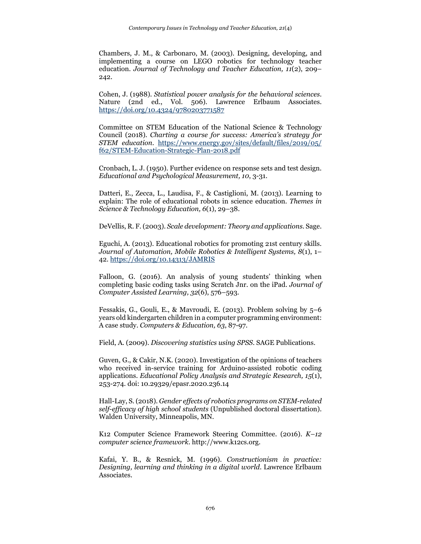Chambers, J. M., & Carbonaro, M. (2003). Designing, developing, and implementing a course on LEGO robotics for technology teacher education. *Journal of Technology and Teacher Education, 11*(2), 209– 242.

Cohen, J. (1988). *Statistical power analysis for the behavioral sciences*. Nature (2nd ed., Vol. 506). Lawrence Erlbaum Associates. <https://doi.org/10.4324/9780203771587>

Committee on STEM Education of the National Science & Technology Council (2018). *Charting a course for success: America's strategy for STEM education*. [https://www.energy.gov/sites/default/files/2019/05/](https://www.energy.gov/sites/default/files/2019/05/%20f62/STEM-Education-Strategic-Plan-2018.pdf) [f62/STEM-Education-Strategic-Plan-2018.pdf](https://www.energy.gov/sites/default/files/2019/05/%20f62/STEM-Education-Strategic-Plan-2018.pdf)

Cronbach, L. J. (1950). Further evidence on response sets and test design. *Educational and Psychological Measurement, 10*, 3-31.

Datteri, E., Zecca, L., Laudisa, F., & Castiglioni, M. (2013). Learning to explain: The role of educational robots in science education. *Themes in Science & Technology Education, 6*(1), 29–38.

DeVellis, R. F. (2003). *Scale development: Theory and applications*. Sage.

Eguchi, A. (2013). Educational robotics for promoting 21st century skills. *Journal of Automation, Mobile Robotics & Intelligent Systems, 8*(1), 1– 42.<https://doi.org/10.14313/JAMRIS>

Falloon, G. (2016). An analysis of young students' thinking when completing basic coding tasks using Scratch Jnr. on the iPad. *Journal of Computer Assisted Learning, 32*(6), 576–593.

Fessakis, G., Gouli, E., & Mavroudi, E. (2013). Problem solving by 5–6 years old kindergarten children in a computer programming environment: A case study. *Computers & Education, 63*, 87-97.

Field, A. (2009). *Discovering statistics using SPSS*. SAGE Publications.

Guven, G., & Cakir, N.K. (2020). Investigation of the opinions of teachers who received in-service training for Arduino-assisted robotic coding applications. *Educational Policy Analysis and Strategic Research, 15*(1), 253-274. doi: 10.29329/epasr.2020.236.14

Hall-Lay, S. (2018). *Gender effects of robotics programs on STEM-related self-efficacy of high school students* (Unpublished doctoral dissertation). Walden University, Minneapolis, MN.

K12 Computer Science Framework Steering Committee. (2016). *K–12 computer science framework*. http://www.k12cs.org.

Kafai, Y. B., & Resnick, M. (1996). *Constructionism in practice: Designing, learning and thinking in a digital world*. Lawrence Erlbaum Associates.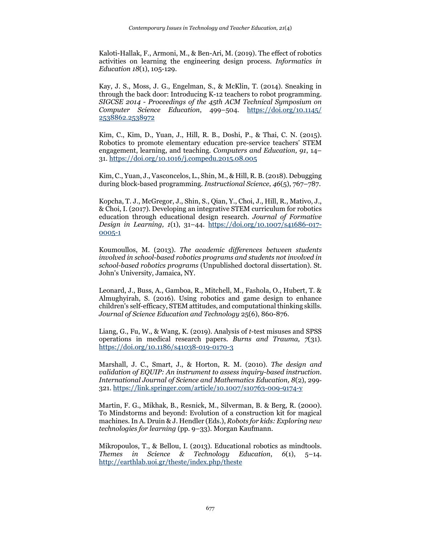Kaloti-Hallak, F., Armoni, M., & Ben-Ari, M. (2019). The effect of robotics activities on learning the engineering design process. *Informatics in Education 18*(1), 105-129.

Kay, J. S., Moss, J. G., Engelman, S., & McKlin, T. (2014). Sneaking in through the back door: Introducing K-12 teachers to robot programming. *SIGCSE 2014 - Proceedings of the 45th ACM Technical Symposium on Computer Science Education*, 499–504. [https://doi.org/10.1145/](https://doi.org/10.1145/%202538862.2538972) [2538862.2538972](https://doi.org/10.1145/%202538862.2538972)

Kim, C., Kim, D., Yuan, J., Hill, R. B., Doshi, P., & Thai, C. N. (2015). Robotics to promote elementary education pre-service teachers' STEM engagement, learning, and teaching. *Computers and Education, 91*, 14– 31.<https://doi.org/10.1016/j.compedu.2015.08.005>

Kim, C., Yuan, J., Vasconcelos, L., Shin, M., & Hill, R. B. (2018). Debugging during block-based programming. *Instructional Science*, *46*(5), 767–787.

Kopcha, T. J., McGregor, J., Shin, S., Qian, Y., Choi, J., Hill, R., Mativo, J., & Choi, I. (2017). Developing an integrative STEM curriculum for robotics education through educational design research. *Journal of Formative Design in Learning, 1*(1), 31–44. [https://doi.org/10.1007/s41686-017-](https://doi.org/10.1007/s41686-017-0005-1) [0005-1](https://doi.org/10.1007/s41686-017-0005-1)

Koumoullos, M. (2013). *The academic differences between students involved in school-based robotics programs and students not involved in school-based robotics programs* (Unpublished doctoral dissertation). St. John's University, Jamaica, NY.

Leonard, J., Buss, A., Gamboa, R., Mitchell, M., Fashola, O., Hubert, T. & Almughyirah, S. (2016). Using robotics and game design to enhance children's self-efficacy, STEM attitudes, and computational thinking skills. *Journal of Science Education and Technology* 25(6), 860-876.

Liang, G., Fu, W., & Wang, K. (2019). Analysis of *t*-test misuses and SPSS operations in medical research papers. *Burns and Trauma, 7*(31). <https://doi.org/10.1186/s41038-019-0170-3>

Marshall, J. C., Smart, J., & Horton, R. M. (2010). *The design and validation of EQUIP: An instrument to assess inquiry-based instruction*. *International Journal of Science and Mathematics Education, 8*(2), 299‐ 321[. https://link.springer.com/article/10.1007/s10763-009-9174-y](https://link.springer.com/article/10.1007/s10763-009-9174-y)

Martin, F. G., Mikhak, B., Resnick, M., Silverman, B. & Berg, R. (2000). To Mindstorms and beyond: Evolution of a construction kit for magical machines. In A. Druin & J. Hendler (Eds.), *Robots for kids: Exploring new technologies for learning* (pp. 9–33). Morgan Kaufmann.

Mikropoulos, T., & Bellou, I. (2013). Educational robotics as mindtools.<br>Themes in Science & Technology Education,  $6(1)$ , 5–14. *Themes in Science & Technology Education*, *6*(1), 5–14. <http://earthlab.uoi.gr/theste/index.php/theste>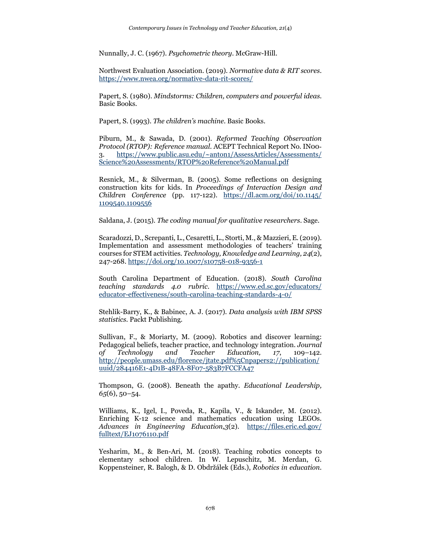Nunnally, J. C. (1967). *Psychometric theory*. McGraw-Hill.

Northwest Evaluation Association. (2019). *Normative data & RIT scores*. <https://www.nwea.org/normative-data-rit-scores/>

Papert, S. (1980). *Mindstorms: Children, computers and powerful ideas*. Basic Books.

Papert, S. (1993). *The children's machine.* Basic Books.

Piburn, M., & Sawada, D. (2001). *Reformed Teaching Observation Protocol (RTOP): Reference manual*. ACEPT Technical Report No. IN00‐ 3. [https://www.public.asu.edu/~anton1/AssessArticles/Assessments/](https://www.public.asu.edu/%7Eanton1/AssessArticles/Assessments/%20Science%20Assessments/RTOP%20Reference%20Manual.pdf) [Science%20Assessments/RTOP%20Reference%20Manual.pdf](https://www.public.asu.edu/%7Eanton1/AssessArticles/Assessments/%20Science%20Assessments/RTOP%20Reference%20Manual.pdf)

Resnick, M., & Silverman, B. (2005). Some reflections on designing construction kits for kids. In *Proceedings of Interaction Design and Children Conference* (pp. 117-122). [https://dl.acm.org/doi/10.1145/](https://dl.acm.org/doi/10.1145/%201109540.1109556) [1109540.1109556](https://dl.acm.org/doi/10.1145/%201109540.1109556)

Saldana, J. (2015). *The coding manual for qualitative researchers*. Sage.

Scaradozzi, D., Screpanti, L., Cesaretti, L., Storti, M., & Mazzieri, E. (2019). Implementation and assessment methodologies of teachers' training courses for STEM activities. *Technology, Knowledge and Learning, 24*(2), 247-268.<https://doi.org/10.1007/s10758-018-9356-1>

South Carolina Department of Education. (2018). *South Carolina teaching standards 4.0 rubric*. [https://www.ed.sc.gov/educators/](https://www.ed.sc.gov/educators/%20educator-effectiveness/south-carolina-teaching-standards-4-0/) [educator-effectiveness/south-carolina-teaching-standards-4-0/](https://www.ed.sc.gov/educators/%20educator-effectiveness/south-carolina-teaching-standards-4-0/)

Stehlik-Barry, K., & Babinec, A. J. (2017). *Data analysis with IBM SPSS statistics*. Packt Publishing.

Sullivan, F., & Moriarty, M. (2009). Robotics and discover learning: Pedagogical beliefs, teacher practice, and technology integration. *Journal of Technology and Teacher Education, 17*, 109–142. [http://people.umass.edu/florence/jtate.pdf%5Cnpapers2://publication/](http://people.umass.edu/florence/jtate.pdf%5Cnpapers2:/publication/uuid/284416E1-4D1B-48FA-8F07-583B7FCCFA47) [uuid/284416E1-4D1B-48FA-8F07-583B7FCCFA47](http://people.umass.edu/florence/jtate.pdf%5Cnpapers2:/publication/uuid/284416E1-4D1B-48FA-8F07-583B7FCCFA47)

Thompson, G. (2008). Beneath the apathy. *Educational Leadership, 65*(6), 50–54.

Williams, K., Igel, I., Poveda, R., Kapila, V., & Iskander, M. (2012). Enriching K-12 science and mathematics education using LEGOs. *Advances in Engineering Education,3*(2). [https://files.eric.ed.gov/](https://files.eric.ed.gov/%20fulltext/EJ1076110.pdf) [fulltext/EJ1076110.pdf](https://files.eric.ed.gov/%20fulltext/EJ1076110.pdf)

Yesharim, M., & Ben-Ari, M. (2018). Teaching robotics concepts to elementary school children. In W. Lepuschitz, M. Merdan, G. Koppensteiner, R. Balogh, & D. Obdržálek (Eds.), *Robotics in education.*